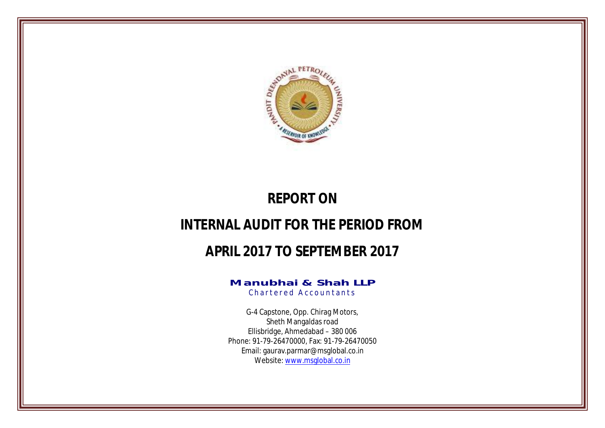

# **REPORT ON**

# **INTERNAL AUDIT FOR THE PERIOD FROM**

# **APRIL 2017 TO SEPTEMBER 2017**

# **Manubhai & Shah LLP**

Chartered Accountants

G-4 Capstone, Opp. Chirag Motors, Sheth Mangaldas road Ellisbridge, Ahmedabad – 380 006 Phone: 91-79-26470000, Fax: 91-79-26470050 Email: gaurav.parmar@msglobal.co.in Website: www.msglobal.co.in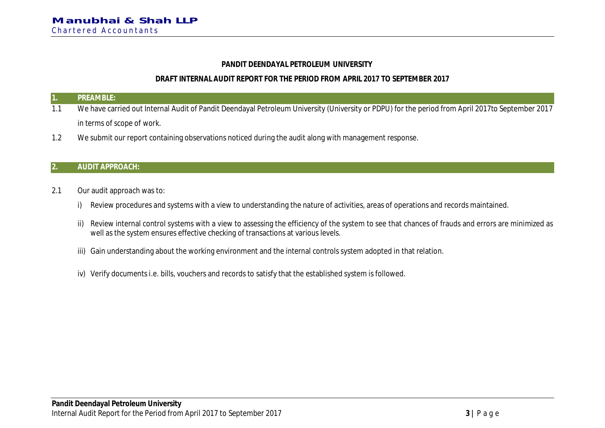## **PANDIT DEENDAYAL PETROLEUM UNIVERSITY**

# **DRAFT INTERNAL AUDIT REPORT FOR THE PERIOD FROM APRIL 2017 TO SEPTEMBER 2017**

#### **1. PREAMBLE:**

- 1.1 We have carried out Internal Audit of Pandit Deendayal Petroleum University (University or PDPU) for the period from April 2017to September 2017 in terms of scope of work.
- 1.2 We submit our report containing observations noticed during the audit along with management response.

## **2. AUDIT APPROACH:**

- 2.1 Our audit approach was to:
	- i) Review procedures and systems with a view to understanding the nature of activities, areas of operations and records maintained.
	- ii) Review internal control systems with a view to assessing the efficiency of the system to see that chances of frauds and errors are minimized as well as the system ensures effective checking of transactions at various levels.
	- iii) Gain understanding about the working environment and the internal controls system adopted in that relation.
	- iv) Verify documents i.e. bills, vouchers and records to satisfy that the established system is followed.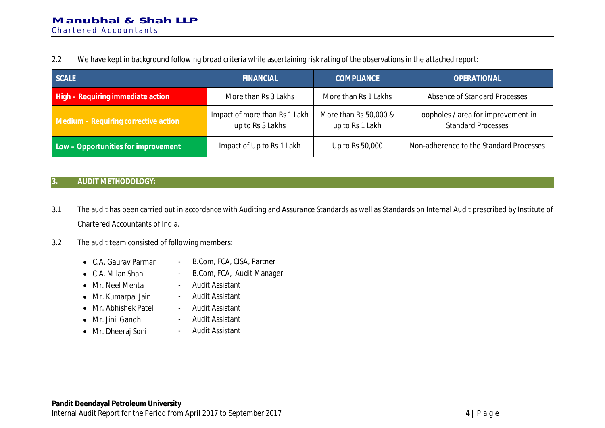2.2 We have kept in background following broad criteria while ascertaining risk rating of the observations in the attached report:

| <b>SCALE</b>                         | <b>FINANCIAL</b>                                  | <b>COMPLIANCE</b>                        | <b>OPERATIONAL</b>                                               |
|--------------------------------------|---------------------------------------------------|------------------------------------------|------------------------------------------------------------------|
| High - Requiring immediate action    | More than Rs 3 Lakhs                              | More than Rs 1 Lakhs                     | Absence of Standard Processes                                    |
| Medium - Requiring corrective action | Impact of more than Rs 1 Lakh<br>up to Rs 3 Lakhs | More than Rs 50,000 &<br>up to Rs 1 Lakh | Loopholes / area for improvement in<br><b>Standard Processes</b> |
| Low - Opportunities for improvement  | Impact of Up to Rs 1 Lakh                         | Up to Rs 50,000                          | Non-adherence to the Standard Processes                          |

# **3. AUDIT METHODOLOGY:**

- 3.1 The audit has been carried out in accordance with Auditing and Assurance Standards as well as Standards on Internal Audit prescribed by Institute of Chartered Accountants of India.
- 3.2 The audit team consisted of following members:
	- C.A. Gaurav Parmar B.Com, FCA, CISA, Partner
	- C.A. Milan Shah B.Com, FCA, Audit Manager
	- Mr. Neel Mehta Audit Assistant
	- Mr. Kumarpal Jain Audit Assistant
	- Mr. Abhishek Patel Audit Assistant
	- Mr. Jinil Gandhi
	- · Mr. Dheeraj Soni
- 
- 
- 
- - Audit Assistant
		- Audit Assistant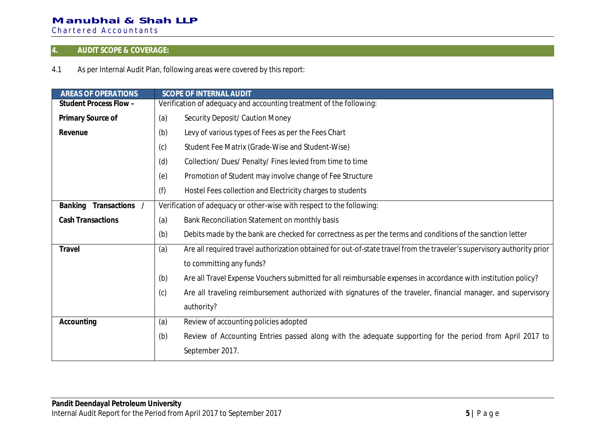# **4. AUDIT SCOPE & COVERAGE:**

4.1 As per Internal Audit Plan, following areas were covered by this report:

| <b>AREAS OF OPERATIONS</b> | <b>SCOPE OF INTERNAL AUDIT</b>                                                                                                |  |  |
|----------------------------|-------------------------------------------------------------------------------------------------------------------------------|--|--|
| Student Process Flow -     | Verification of adequacy and accounting treatment of the following:                                                           |  |  |
| Primary Source of          | Security Deposit/ Caution Money<br>(a)                                                                                        |  |  |
| Revenue                    | Levy of various types of Fees as per the Fees Chart<br>(b)                                                                    |  |  |
|                            | Student Fee Matrix (Grade-Wise and Student-Wise)<br>(c)                                                                       |  |  |
|                            | (d)<br>Collection/ Dues/ Penalty/ Fines levied from time to time                                                              |  |  |
|                            | (e)<br>Promotion of Student may involve change of Fee Structure                                                               |  |  |
|                            | (f)<br>Hostel Fees collection and Electricity charges to students                                                             |  |  |
| Transactions /<br>Banking  | Verification of adequacy or other-wise with respect to the following:                                                         |  |  |
| <b>Cash Transactions</b>   | (a)<br>Bank Reconciliation Statement on monthly basis                                                                         |  |  |
|                            | Debits made by the bank are checked for correctness as per the terms and conditions of the sanction letter<br>(b)             |  |  |
| Travel                     | (a)<br>Are all required travel authorization obtained for out-of-state travel from the traveler's supervisory authority prior |  |  |
|                            | to committing any funds?                                                                                                      |  |  |
|                            | Are all Travel Expense Vouchers submitted for all reimbursable expenses in accordance with institution policy?<br>(b)         |  |  |
|                            | (c)<br>Are all traveling reimbursement authorized with signatures of the traveler, financial manager, and supervisory         |  |  |
|                            | authority?                                                                                                                    |  |  |
| Accounting                 | (a)<br>Review of accounting policies adopted                                                                                  |  |  |
|                            | Review of Accounting Entries passed along with the adequate supporting for the period from April 2017 to<br>(b)               |  |  |
|                            | September 2017.                                                                                                               |  |  |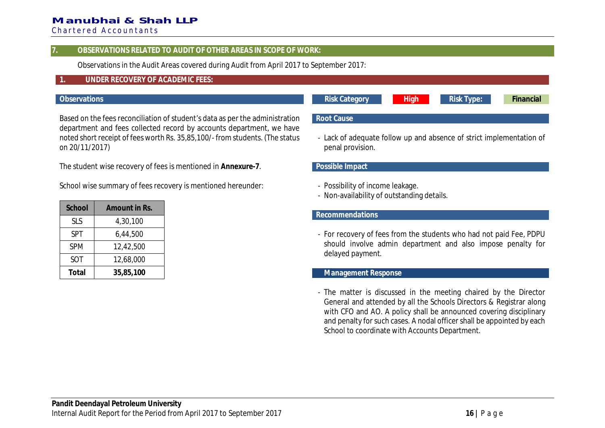# **Manubhai & Shah LLP**

Chartered Accountants

#### **7. OBSERVATIONS RELATED TO AUDIT OF OTHER AREAS IN SCOPE OF WORK:**

Observations in the Audit Areas covered during Audit from April 2017 to September 2017:

# **1. UNDER RECOVERY OF ACADEMIC FEES:**

#### **Observations Risk Category High Risk Type: Financial**

Based on the fees reconciliation of student's data as per the administration department and fees collected record by accounts department, we have noted short receipt of fees worth Rs. 35,85,100/- from students. (The status on 20/11/2017)

The student wise recovery of fees is mentioned in **Annexure-7**.

School wise summary of fees recovery is mentioned hereunder:

| School     | Amount in Rs. |  |
|------------|---------------|--|
| <b>SLS</b> | 4,30,100      |  |
| <b>SPT</b> | 6,44,500      |  |
| <b>SPM</b> | 12,42,500     |  |
| SOT        | 12,68,000     |  |
| Total      | 35,85,100     |  |

# **Root Cause**

- Lack of adequate follow up and absence of strict implementation of penal provision.

#### **Possible Impact**

- Possibility of income leakage.
- Non-availability of outstanding details.

#### **Recommendations**

- For recovery of fees from the students who had not paid Fee, PDPU should involve admin department and also impose penalty for delayed payment.

#### **Management Response**

- The matter is discussed in the meeting chaired by the Director General and attended by all the Schools Directors & Registrar along with CFO and AO. A policy shall be announced covering disciplinary and penalty for such cases. A nodal officer shall be appointed by each School to coordinate with Accounts Department.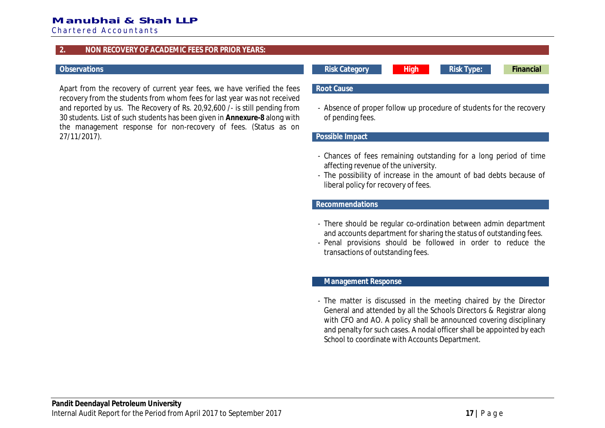## **Manubhai & Shah LLP**

Chartered Accountants

#### **2. NON RECOVERY OF ACADEMIC FEES FOR PRIOR YEARS:**

Apart from the recovery of current year fees, we have verified the fees recovery from the students from whom fees for last year was not received and reported by us. The Recovery of Rs. 20,92,600 /- is still pending from 30 students. List of such students has been given in **Annexure-8** along with the management response for non-recovery of fees. (Status as on 27/11/2017).

**Observations Risk Category High Risk Type: Financial**

#### **Root Cause**

- Absence of proper follow up procedure of students for the recovery of pending fees.

#### **Possible Impact**

- Chances of fees remaining outstanding for a long period of time affecting revenue of the university.
- The possibility of increase in the amount of bad debts because of liberal policy for recovery of fees.

#### **Recommendations**

- There should be regular co-ordination between admin department and accounts department for sharing the status of outstanding fees.
- Penal provisions should be followed in order to reduce the transactions of outstanding fees.

#### **Management Response**

- The matter is discussed in the meeting chaired by the Director General and attended by all the Schools Directors & Registrar along with CFO and AO. A policy shall be announced covering disciplinary and penalty for such cases. A nodal officer shall be appointed by each School to coordinate with Accounts Department.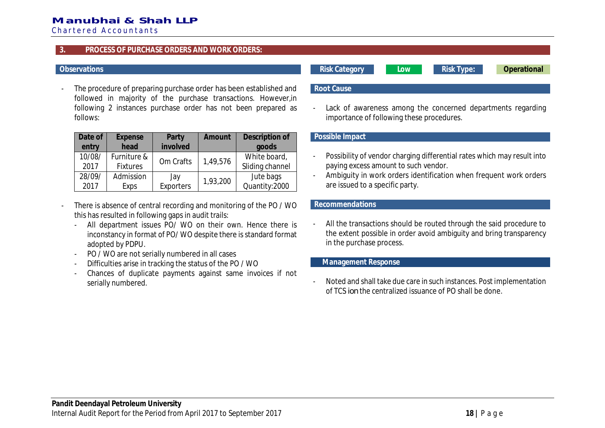# **Manubhai & Shah LLP**

Chartered Accountants

#### **3. PROCESS OF PURCHASE ORDERS AND WORK ORDERS:**

The procedure of preparing purchase order has been established and followed in majority of the purchase transactions. However,in following 2 instances purchase order has not been prepared as follows:

| Date of | Expense         | Party           | Amount   | Description of  |
|---------|-----------------|-----------------|----------|-----------------|
| entry   | head            | involved        |          | goods           |
| 10/08/  | Furniture &     | Om Crafts       | 1,49,576 | White board,    |
| 2017    | <b>Fixtures</b> |                 |          | Sliding channel |
| 28/09/  | Admission       | Jay<br>1,93,200 |          | Jute bags       |
| 2017    | Exps            | Exporters       |          | Quantity:2000   |

- There is absence of central recording and monitoring of the PO / WO this has resulted in following gaps in audit trails:
	- All department issues PO/ WO on their own. Hence there is inconstancy in format of PO/ WO despite there is standard format adopted by PDPU.
	- PO / WO are not serially numbered in all cases
	- Difficulties arise in tracking the status of the PO / WO
	- Chances of duplicate payments against same invoices if not serially numbered.

#### **Observations Risk Category Low Risk Type: Operational**

### **Root Cause**

Lack of awareness among the concerned departments regarding importance of following these procedures.

#### **Possible Impact**

- Possibility of vendor charging differential rates which may result into paying excess amount to such vendor.
- Ambiguity in work orders identification when frequent work orders are issued to a specific party.

#### **Recommendations**

All the transactions should be routed through the said procedure to the extent possible in order avoid ambiguity and bring transparency in the purchase process.

#### **Management Response**

- Noted and shall take due care in such instances. Post implementation of TCS *ion* the centralized issuance of PO shall be done.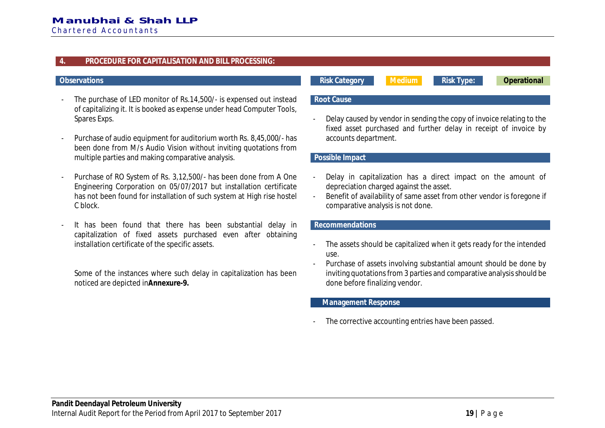#### **4. PROCEDURE FOR CAPITALISATION AND BILL PROCESSING:**

- The purchase of LED monitor of Rs.14,500/- is expensed out instead of capitalizing it. It is booked as expense under head Computer Tools, Spares Exps.
- Purchase of audio equipment for auditorium worth Rs. 8,45,000/- has been done from M/s Audio Vision without inviting quotations from multiple parties and making comparative analysis.
- Purchase of RO System of Rs. 3,12,500/- has been done from A One Engineering Corporation on 05/07/2017 but installation certificate has not been found for installation of such system at High rise hostel C block.
- It has been found that there has been substantial delay in capitalization of fixed assets purchased even after obtaining installation certificate of the specific assets.

Some of the instances where such delay in capitalization has been noticed are depicted in**Annexure-9.**

**Observations Risk Category Medium Risk Type: Operational**

### **Root Cause**

- Delay caused by vendor in sending the copy of invoice relating to the fixed asset purchased and further delay in receipt of invoice by accounts department.

#### **Possible Impact**

- Delay in capitalization has a direct impact on the amount of depreciation charged against the asset.
- Benefit of availability of same asset from other vendor is foregone if comparative analysis is not done.

### **Recommendations**

- The assets should be capitalized when it gets ready for the intended use.
- Purchase of assets involving substantial amount should be done by inviting quotations from 3 parties and comparative analysis should be done before finalizing vendor.

#### **Management Response**

The corrective accounting entries have been passed.